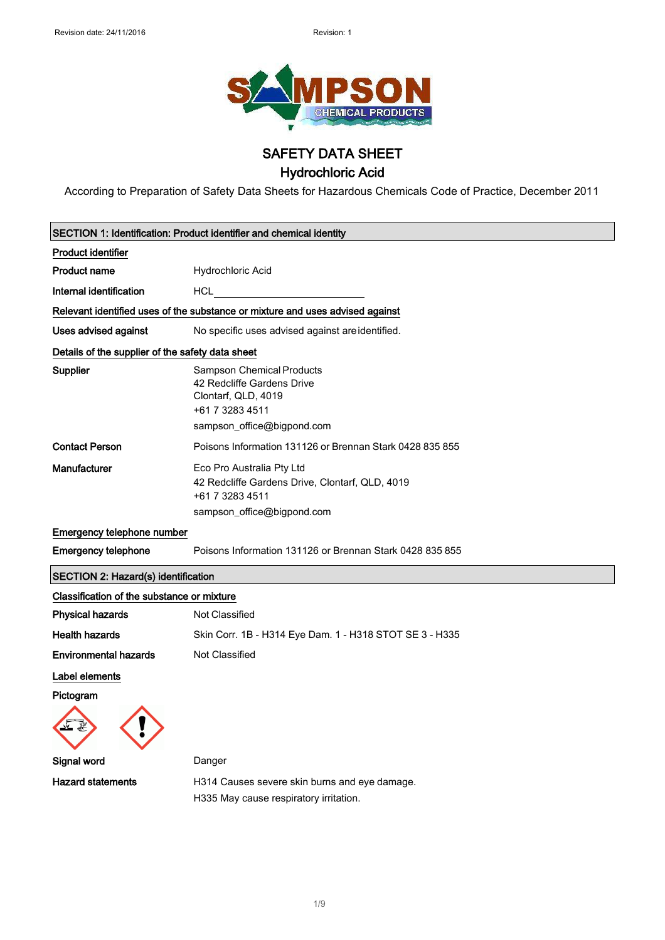

### SAFETY DATA SHEET

# Hydrochloric Acid

According to Preparation of Safety Data Sheets for Hazardous Chemicals Code of Practice, December 2011

|                                                  | <b>SECTION 1: Identification: Product identifier and chemical identity</b>                                                      |
|--------------------------------------------------|---------------------------------------------------------------------------------------------------------------------------------|
| <b>Product identifier</b>                        |                                                                                                                                 |
| <b>Product name</b>                              | Hydrochloric Acid                                                                                                               |
| Internal identification                          | <b>HCL</b>                                                                                                                      |
|                                                  | Relevant identified uses of the substance or mixture and uses advised against                                                   |
| Uses advised against                             | No specific uses advised against are identified.                                                                                |
| Details of the supplier of the safety data sheet |                                                                                                                                 |
| <b>Supplier</b>                                  | Sampson Chemical Products<br>42 Redcliffe Gardens Drive<br>Clontarf, QLD, 4019<br>+61 7 3283 4511<br>sampson_office@bigpond.com |
| <b>Contact Person</b>                            | Poisons Information 131126 or Brennan Stark 0428 835 855                                                                        |
| Manufacturer                                     | Eco Pro Australia Pty Ltd<br>42 Redcliffe Gardens Drive, Clontarf, QLD, 4019<br>+61 7 3283 4511<br>sampson_office@bigpond.com   |
| Emergency telephone number                       |                                                                                                                                 |
| <b>Emergency telephone</b>                       | Poisons Information 131126 or Brennan Stark 0428 835 855                                                                        |
| <b>SECTION 2: Hazard(s) identification</b>       |                                                                                                                                 |
| Classification of the substance or mixture       |                                                                                                                                 |
| <b>Physical hazards</b>                          | Not Classified                                                                                                                  |
| <b>Health hazards</b>                            | Skin Corr. 1B - H314 Eye Dam. 1 - H318 STOT SE 3 - H335                                                                         |
| <b>Environmental hazards</b>                     | Not Classified                                                                                                                  |
| Label elements                                   |                                                                                                                                 |
| Pictogram                                        |                                                                                                                                 |
| Signal word                                      | Danger                                                                                                                          |
| <b>Hazard statements</b>                         | H314 Causes severe skin burns and eye damage.                                                                                   |
|                                                  | H335 May cause respiratory irritation.                                                                                          |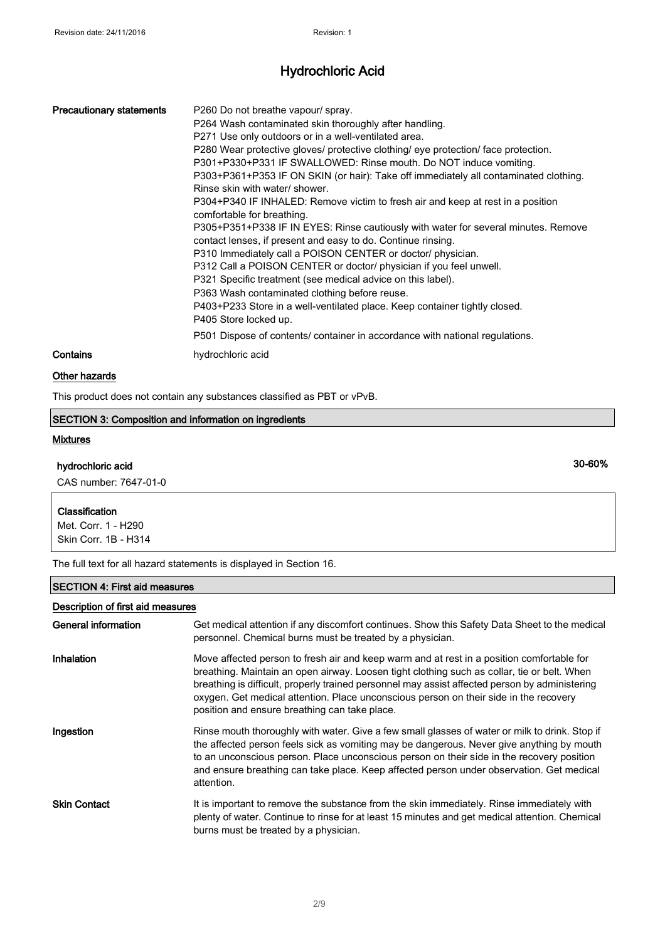| <b>Precautionary statements</b> | P260 Do not breathe vapour/ spray.<br>P264 Wash contaminated skin thoroughly after handling.<br>P271 Use only outdoors or in a well-ventilated area.<br>P280 Wear protective gloves/ protective clothing/ eye protection/ face protection.<br>P301+P330+P331 IF SWALLOWED: Rinse mouth. Do NOT induce vomiting.<br>P303+P361+P353 IF ON SKIN (or hair): Take off immediately all contaminated clothing.<br>Rinse skin with water/ shower.<br>P304+P340 IF INHALED: Remove victim to fresh air and keep at rest in a position<br>comfortable for breathing.<br>P305+P351+P338 IF IN EYES: Rinse cautiously with water for several minutes. Remove<br>contact lenses, if present and easy to do. Continue rinsing.<br>P310 Immediately call a POISON CENTER or doctor/ physician.<br>P312 Call a POISON CENTER or doctor/ physician if you feel unwell.<br>P321 Specific treatment (see medical advice on this label).<br>P363 Wash contaminated clothing before reuse.<br>P403+P233 Store in a well-ventilated place. Keep container tightly closed.<br>P405 Store locked up.<br>P501 Dispose of contents/ container in accordance with national regulations. |
|---------------------------------|--------------------------------------------------------------------------------------------------------------------------------------------------------------------------------------------------------------------------------------------------------------------------------------------------------------------------------------------------------------------------------------------------------------------------------------------------------------------------------------------------------------------------------------------------------------------------------------------------------------------------------------------------------------------------------------------------------------------------------------------------------------------------------------------------------------------------------------------------------------------------------------------------------------------------------------------------------------------------------------------------------------------------------------------------------------------------------------------------------------------------------------------------------------|
| Contains                        | hydrochloric acid                                                                                                                                                                                                                                                                                                                                                                                                                                                                                                                                                                                                                                                                                                                                                                                                                                                                                                                                                                                                                                                                                                                                            |

### Other hazards

This product does not contain any substances classified as PBT or vPvB.

### SECTION 3: Composition and information on ingredients

#### **Mixtures**

### hydrochloric acid

CAS number: 7647-01-0

#### **Classification**

Met. Corr. 1 - H290 Skin Corr. 1B - H314

The full text for all hazard statements is displayed in Section 16.

### SECTION 4: First aid measures

| Description of first aid measures |                                                                                                                                                                                                                                                                                                                                                                                                                                      |
|-----------------------------------|--------------------------------------------------------------------------------------------------------------------------------------------------------------------------------------------------------------------------------------------------------------------------------------------------------------------------------------------------------------------------------------------------------------------------------------|
| General information               | Get medical attention if any discomfort continues. Show this Safety Data Sheet to the medical<br>personnel. Chemical burns must be treated by a physician.                                                                                                                                                                                                                                                                           |
| Inhalation                        | Move affected person to fresh air and keep warm and at rest in a position comfortable for<br>breathing. Maintain an open airway. Loosen tight clothing such as collar, tie or belt. When<br>breathing is difficult, properly trained personnel may assist affected person by administering<br>oxygen. Get medical attention. Place unconscious person on their side in the recovery<br>position and ensure breathing can take place. |
| Ingestion                         | Rinse mouth thoroughly with water. Give a few small glasses of water or milk to drink. Stop if<br>the affected person feels sick as vomiting may be dangerous. Never give anything by mouth<br>to an unconscious person. Place unconscious person on their side in the recovery position<br>and ensure breathing can take place. Keep affected person under observation. Get medical<br>attention.                                   |
| <b>Skin Contact</b>               | It is important to remove the substance from the skin immediately. Rinse immediately with<br>plenty of water. Continue to rinse for at least 15 minutes and get medical attention. Chemical<br>burns must be treated by a physician.                                                                                                                                                                                                 |

30-60%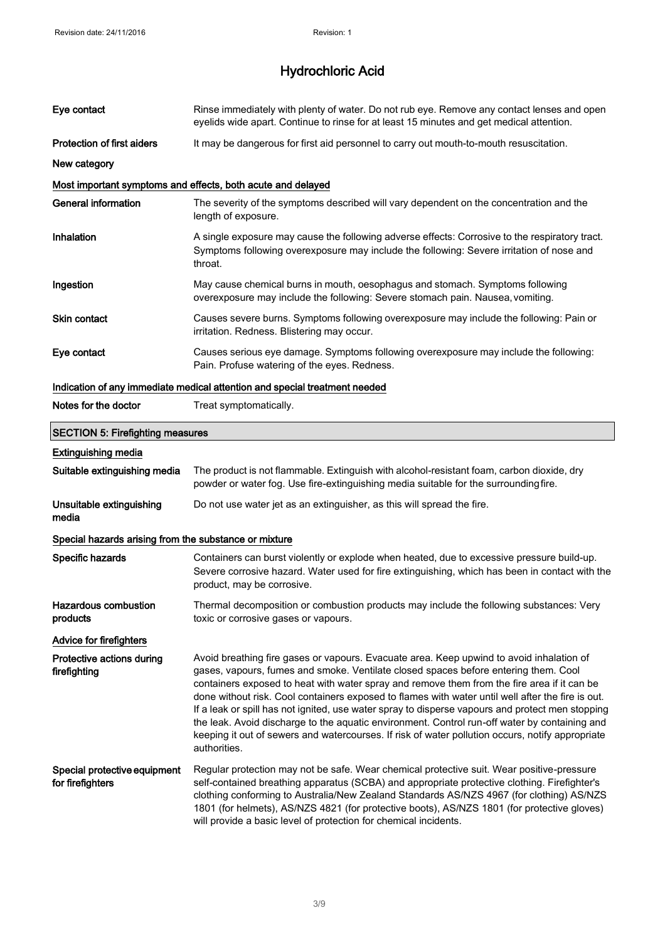| Eye contact                                           | Rinse immediately with plenty of water. Do not rub eye. Remove any contact lenses and open<br>eyelids wide apart. Continue to rinse for at least 15 minutes and get medical attention.                                                                                                                                                                                                                                                                                                                                                                                                                                                                                                                       |
|-------------------------------------------------------|--------------------------------------------------------------------------------------------------------------------------------------------------------------------------------------------------------------------------------------------------------------------------------------------------------------------------------------------------------------------------------------------------------------------------------------------------------------------------------------------------------------------------------------------------------------------------------------------------------------------------------------------------------------------------------------------------------------|
| <b>Protection of first aiders</b>                     | It may be dangerous for first aid personnel to carry out mouth-to-mouth resuscitation.                                                                                                                                                                                                                                                                                                                                                                                                                                                                                                                                                                                                                       |
| New category                                          |                                                                                                                                                                                                                                                                                                                                                                                                                                                                                                                                                                                                                                                                                                              |
|                                                       | Most important symptoms and effects, both acute and delayed                                                                                                                                                                                                                                                                                                                                                                                                                                                                                                                                                                                                                                                  |
| <b>General information</b>                            | The severity of the symptoms described will vary dependent on the concentration and the<br>length of exposure.                                                                                                                                                                                                                                                                                                                                                                                                                                                                                                                                                                                               |
| Inhalation                                            | A single exposure may cause the following adverse effects: Corrosive to the respiratory tract.<br>Symptoms following overexposure may include the following: Severe irritation of nose and<br>throat.                                                                                                                                                                                                                                                                                                                                                                                                                                                                                                        |
| Ingestion                                             | May cause chemical burns in mouth, oesophagus and stomach. Symptoms following<br>overexposure may include the following: Severe stomach pain. Nausea, vomiting.                                                                                                                                                                                                                                                                                                                                                                                                                                                                                                                                              |
| <b>Skin contact</b>                                   | Causes severe burns. Symptoms following overexposure may include the following: Pain or<br>irritation. Redness. Blistering may occur.                                                                                                                                                                                                                                                                                                                                                                                                                                                                                                                                                                        |
| Eye contact                                           | Causes serious eye damage. Symptoms following overexposure may include the following:<br>Pain. Profuse watering of the eyes. Redness.                                                                                                                                                                                                                                                                                                                                                                                                                                                                                                                                                                        |
|                                                       | Indication of any immediate medical attention and special treatment needed                                                                                                                                                                                                                                                                                                                                                                                                                                                                                                                                                                                                                                   |
| Notes for the doctor                                  | Treat symptomatically.                                                                                                                                                                                                                                                                                                                                                                                                                                                                                                                                                                                                                                                                                       |
| <b>SECTION 5: Firefighting measures</b>               |                                                                                                                                                                                                                                                                                                                                                                                                                                                                                                                                                                                                                                                                                                              |
| <b>Extinguishing media</b>                            |                                                                                                                                                                                                                                                                                                                                                                                                                                                                                                                                                                                                                                                                                                              |
| Suitable extinguishing media                          | The product is not flammable. Extinguish with alcohol-resistant foam, carbon dioxide, dry<br>powder or water fog. Use fire-extinguishing media suitable for the surrounding fire.                                                                                                                                                                                                                                                                                                                                                                                                                                                                                                                            |
| Unsuitable extinguishing<br>media                     | Do not use water jet as an extinguisher, as this will spread the fire.                                                                                                                                                                                                                                                                                                                                                                                                                                                                                                                                                                                                                                       |
| Special hazards arising from the substance or mixture |                                                                                                                                                                                                                                                                                                                                                                                                                                                                                                                                                                                                                                                                                                              |
| Specific hazards                                      | Containers can burst violently or explode when heated, due to excessive pressure build-up.<br>Severe corrosive hazard. Water used for fire extinguishing, which has been in contact with the<br>product, may be corrosive.                                                                                                                                                                                                                                                                                                                                                                                                                                                                                   |
| <b>Hazardous combustion</b><br>products               | Thermal decomposition or combustion products may include the following substances: Very<br>toxic or corrosive gases or vapours.                                                                                                                                                                                                                                                                                                                                                                                                                                                                                                                                                                              |
| Advice for firefighters                               |                                                                                                                                                                                                                                                                                                                                                                                                                                                                                                                                                                                                                                                                                                              |
| Protective actions during<br>firefighting             | Avoid breathing fire gases or vapours. Evacuate area. Keep upwind to avoid inhalation of<br>gases, vapours, fumes and smoke. Ventilate closed spaces before entering them. Cool<br>containers exposed to heat with water spray and remove them from the fire area if it can be<br>done without risk. Cool containers exposed to flames with water until well after the fire is out.<br>If a leak or spill has not ignited, use water spray to disperse vapours and protect men stopping<br>the leak. Avoid discharge to the aquatic environment. Control run-off water by containing and<br>keeping it out of sewers and watercourses. If risk of water pollution occurs, notify appropriate<br>authorities. |
| Special protective equipment<br>for firefighters      | Regular protection may not be safe. Wear chemical protective suit. Wear positive-pressure<br>self-contained breathing apparatus (SCBA) and appropriate protective clothing. Firefighter's<br>clothing conforming to Australia/New Zealand Standards AS/NZS 4967 (for clothing) AS/NZS<br>1801 (for helmets), AS/NZS 4821 (for protective boots), AS/NZS 1801 (for protective gloves)<br>will provide a basic level of protection for chemical incidents.                                                                                                                                                                                                                                                     |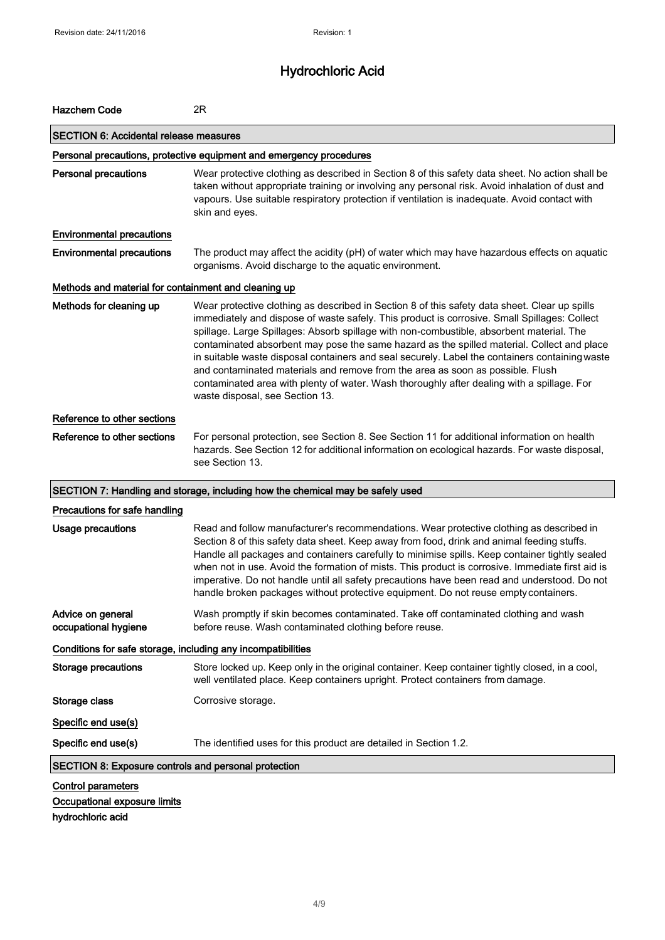| <b>Hazchem Code</b>                                                            | 2R                                                                                                                                                                                                                                                                                                                                                                                                                                                                                                                                                                                                                                                                                                           |
|--------------------------------------------------------------------------------|--------------------------------------------------------------------------------------------------------------------------------------------------------------------------------------------------------------------------------------------------------------------------------------------------------------------------------------------------------------------------------------------------------------------------------------------------------------------------------------------------------------------------------------------------------------------------------------------------------------------------------------------------------------------------------------------------------------|
| <b>SECTION 6: Accidental release measures</b>                                  |                                                                                                                                                                                                                                                                                                                                                                                                                                                                                                                                                                                                                                                                                                              |
|                                                                                | Personal precautions, protective equipment and emergency procedures                                                                                                                                                                                                                                                                                                                                                                                                                                                                                                                                                                                                                                          |
| <b>Personal precautions</b>                                                    | Wear protective clothing as described in Section 8 of this safety data sheet. No action shall be<br>taken without appropriate training or involving any personal risk. Avoid inhalation of dust and<br>vapours. Use suitable respiratory protection if ventilation is inadequate. Avoid contact with<br>skin and eyes.                                                                                                                                                                                                                                                                                                                                                                                       |
| <b>Environmental precautions</b>                                               |                                                                                                                                                                                                                                                                                                                                                                                                                                                                                                                                                                                                                                                                                                              |
| <b>Environmental precautions</b>                                               | The product may affect the acidity (pH) of water which may have hazardous effects on aquatic<br>organisms. Avoid discharge to the aquatic environment.                                                                                                                                                                                                                                                                                                                                                                                                                                                                                                                                                       |
| Methods and material for containment and cleaning up                           |                                                                                                                                                                                                                                                                                                                                                                                                                                                                                                                                                                                                                                                                                                              |
| Methods for cleaning up                                                        | Wear protective clothing as described in Section 8 of this safety data sheet. Clear up spills<br>immediately and dispose of waste safely. This product is corrosive. Small Spillages: Collect<br>spillage. Large Spillages: Absorb spillage with non-combustible, absorbent material. The<br>contaminated absorbent may pose the same hazard as the spilled material. Collect and place<br>in suitable waste disposal containers and seal securely. Label the containers containing waste<br>and contaminated materials and remove from the area as soon as possible. Flush<br>contaminated area with plenty of water. Wash thoroughly after dealing with a spillage. For<br>waste disposal, see Section 13. |
| Reference to other sections                                                    |                                                                                                                                                                                                                                                                                                                                                                                                                                                                                                                                                                                                                                                                                                              |
| Reference to other sections                                                    | For personal protection, see Section 8. See Section 11 for additional information on health<br>hazards. See Section 12 for additional information on ecological hazards. For waste disposal,<br>see Section 13.                                                                                                                                                                                                                                                                                                                                                                                                                                                                                              |
|                                                                                | SECTION 7: Handling and storage, including how the chemical may be safely used                                                                                                                                                                                                                                                                                                                                                                                                                                                                                                                                                                                                                               |
| Precautions for safe handling                                                  |                                                                                                                                                                                                                                                                                                                                                                                                                                                                                                                                                                                                                                                                                                              |
| Usage precautions                                                              | Read and follow manufacturer's recommendations. Wear protective clothing as described in<br>Section 8 of this safety data sheet. Keep away from food, drink and animal feeding stuffs.<br>Handle all packages and containers carefully to minimise spills. Keep container tightly sealed<br>when not in use. Avoid the formation of mists. This product is corrosive. Immediate first aid is<br>imperative. Do not handle until all safety precautions have been read and understood. Do not<br>handle broken packages without protective equipment. Do not reuse empty containers.                                                                                                                          |
| Advice on general<br>occupational hygiene                                      | Wash promptly if skin becomes contaminated. Take off contaminated clothing and wash<br>before reuse. Wash contaminated clothing before reuse.                                                                                                                                                                                                                                                                                                                                                                                                                                                                                                                                                                |
| Conditions for safe storage, including any incompatibilities                   |                                                                                                                                                                                                                                                                                                                                                                                                                                                                                                                                                                                                                                                                                                              |
| <b>Storage precautions</b>                                                     | Store locked up. Keep only in the original container. Keep container tightly closed, in a cool,<br>well ventilated place. Keep containers upright. Protect containers from damage.                                                                                                                                                                                                                                                                                                                                                                                                                                                                                                                           |
| Storage class                                                                  | Corrosive storage.                                                                                                                                                                                                                                                                                                                                                                                                                                                                                                                                                                                                                                                                                           |
| Specific end use(s)                                                            |                                                                                                                                                                                                                                                                                                                                                                                                                                                                                                                                                                                                                                                                                                              |
| Specific end use(s)                                                            | The identified uses for this product are detailed in Section 1.2.                                                                                                                                                                                                                                                                                                                                                                                                                                                                                                                                                                                                                                            |
| SECTION 8: Exposure controls and personal protection                           |                                                                                                                                                                                                                                                                                                                                                                                                                                                                                                                                                                                                                                                                                                              |
| <b>Control parameters</b><br>Occupational exposure limits<br>hydrochloric acid |                                                                                                                                                                                                                                                                                                                                                                                                                                                                                                                                                                                                                                                                                                              |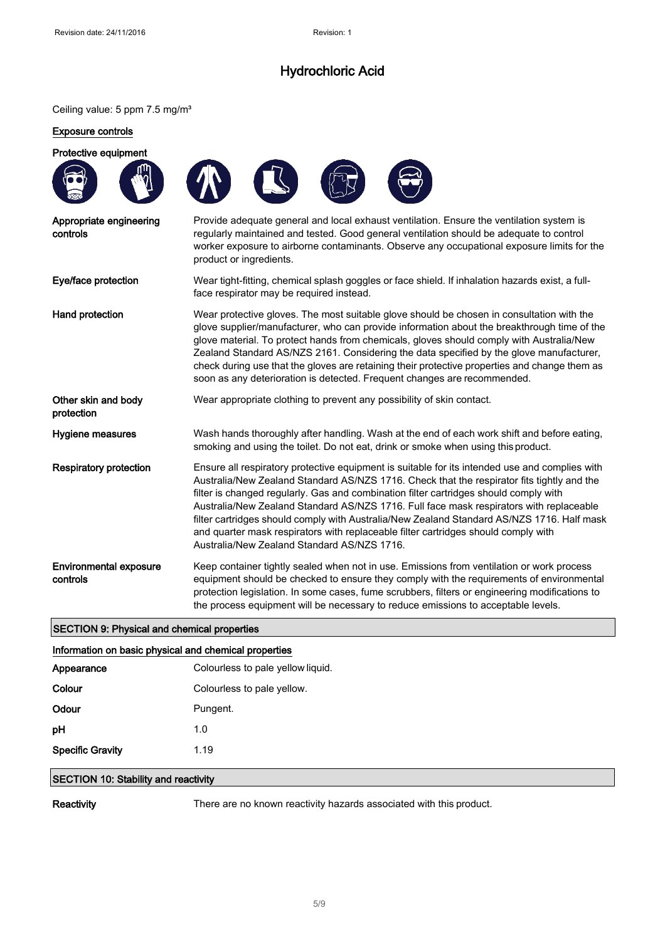### Ceiling value: 5 ppm 7.5 mg/m<sup>3</sup>

### Exposure controls

| Protective equipment                               |                                                                                                                                                                                                                                                                                                                                                                                                                                                                                                                                                                                                                     |
|----------------------------------------------------|---------------------------------------------------------------------------------------------------------------------------------------------------------------------------------------------------------------------------------------------------------------------------------------------------------------------------------------------------------------------------------------------------------------------------------------------------------------------------------------------------------------------------------------------------------------------------------------------------------------------|
|                                                    |                                                                                                                                                                                                                                                                                                                                                                                                                                                                                                                                                                                                                     |
| Appropriate engineering<br>controls                | Provide adequate general and local exhaust ventilation. Ensure the ventilation system is<br>regularly maintained and tested. Good general ventilation should be adequate to control<br>worker exposure to airborne contaminants. Observe any occupational exposure limits for the<br>product or ingredients.                                                                                                                                                                                                                                                                                                        |
| Eye/face protection                                | Wear tight-fitting, chemical splash goggles or face shield. If inhalation hazards exist, a full-<br>face respirator may be required instead.                                                                                                                                                                                                                                                                                                                                                                                                                                                                        |
| Hand protection                                    | Wear protective gloves. The most suitable glove should be chosen in consultation with the<br>glove supplier/manufacturer, who can provide information about the breakthrough time of the<br>glove material. To protect hands from chemicals, gloves should comply with Australia/New<br>Zealand Standard AS/NZS 2161. Considering the data specified by the glove manufacturer,<br>check during use that the gloves are retaining their protective properties and change them as<br>soon as any deterioration is detected. Frequent changes are recommended.                                                        |
| Other skin and body<br>protection                  | Wear appropriate clothing to prevent any possibility of skin contact.                                                                                                                                                                                                                                                                                                                                                                                                                                                                                                                                               |
| <b>Hygiene measures</b>                            | Wash hands thoroughly after handling. Wash at the end of each work shift and before eating,<br>smoking and using the toilet. Do not eat, drink or smoke when using this product.                                                                                                                                                                                                                                                                                                                                                                                                                                    |
| <b>Respiratory protection</b>                      | Ensure all respiratory protective equipment is suitable for its intended use and complies with<br>Australia/New Zealand Standard AS/NZS 1716. Check that the respirator fits tightly and the<br>filter is changed regularly. Gas and combination filter cartridges should comply with<br>Australia/New Zealand Standard AS/NZS 1716. Full face mask respirators with replaceable<br>filter cartridges should comply with Australia/New Zealand Standard AS/NZS 1716. Half mask<br>and quarter mask respirators with replaceable filter cartridges should comply with<br>Australia/New Zealand Standard AS/NZS 1716. |
| <b>Environmental exposure</b><br>controls          | Keep container tightly sealed when not in use. Emissions from ventilation or work process<br>equipment should be checked to ensure they comply with the requirements of environmental<br>protection legislation. In some cases, fume scrubbers, filters or engineering modifications to<br>the process equipment will be necessary to reduce emissions to acceptable levels.                                                                                                                                                                                                                                        |
| <b>SECTION 9: Physical and chemical properties</b> |                                                                                                                                                                                                                                                                                                                                                                                                                                                                                                                                                                                                                     |

# Information on basic physical and chemical properties

| <b>INTERNATION CONTROLS AND CONTROLLED AND INTERNATIONAL PROPERTION</b> |                                   |
|-------------------------------------------------------------------------|-----------------------------------|
| Appearance                                                              | Colourless to pale yellow liquid. |
| Colour                                                                  | Colourless to pale yellow.        |
| Odour                                                                   | Pungent.                          |
| pH                                                                      | 1.0                               |
| <b>Specific Gravity</b>                                                 | 1.19                              |
|                                                                         |                                   |

### SECTION 10: Stability and reactivity

Reactivity There are no known reactivity hazards associated with this product.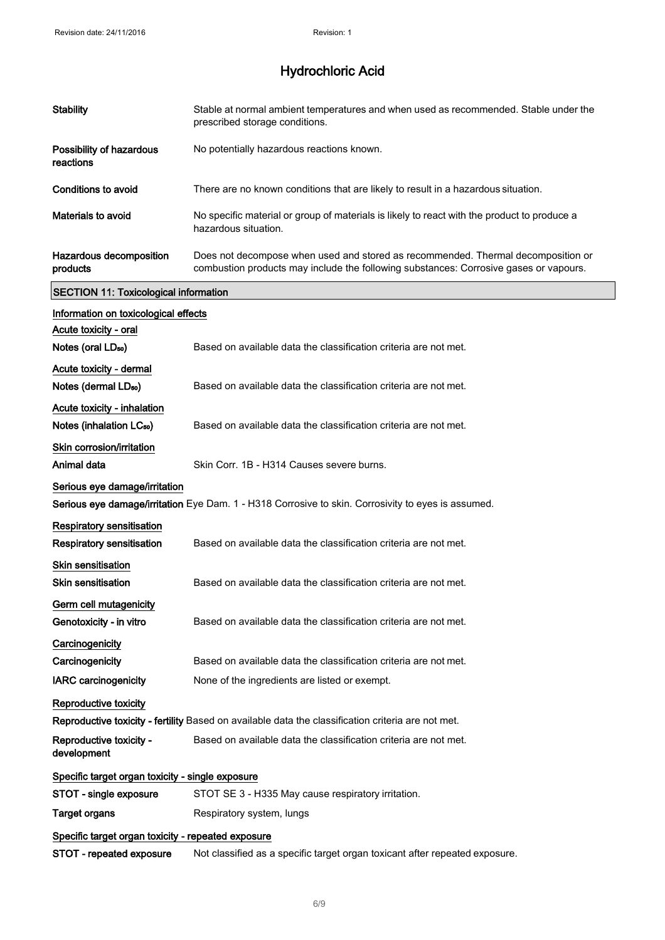| <b>Stability</b>                                              | Stable at normal ambient temperatures and when used as recommended. Stable under the<br>prescribed storage conditions.                                                    |
|---------------------------------------------------------------|---------------------------------------------------------------------------------------------------------------------------------------------------------------------------|
| Possibility of hazardous<br>reactions                         | No potentially hazardous reactions known.                                                                                                                                 |
| <b>Conditions to avoid</b>                                    | There are no known conditions that are likely to result in a hazardous situation.                                                                                         |
| <b>Materials to avoid</b>                                     | No specific material or group of materials is likely to react with the product to produce a<br>hazardous situation.                                                       |
| Hazardous decomposition<br>products                           | Does not decompose when used and stored as recommended. Thermal decomposition or<br>combustion products may include the following substances: Corrosive gases or vapours. |
| <b>SECTION 11: Toxicological information</b>                  |                                                                                                                                                                           |
| Information on toxicological effects<br>Acute toxicity - oral |                                                                                                                                                                           |
| Notes (oral LD <sub>50</sub> )                                | Based on available data the classification criteria are not met.                                                                                                          |
| Acute toxicity - dermal                                       |                                                                                                                                                                           |
| Notes (dermal LD <sub>50</sub> )                              | Based on available data the classification criteria are not met.                                                                                                          |
| Acute toxicity - inhalation                                   |                                                                                                                                                                           |
| Notes (inhalation LC <sub>50</sub> )                          | Based on available data the classification criteria are not met.                                                                                                          |
| Skin corrosion/irritation                                     |                                                                                                                                                                           |
| Animal data                                                   | Skin Corr. 1B - H314 Causes severe burns.                                                                                                                                 |
| Serious eye damage/irritation                                 | Serious eye damage/irritation Eye Dam. 1 - H318 Corrosive to skin. Corrosivity to eyes is assumed.                                                                        |
| Respiratory sensitisation                                     |                                                                                                                                                                           |
| Respiratory sensitisation                                     | Based on available data the classification criteria are not met.                                                                                                          |
| Skin sensitisation                                            |                                                                                                                                                                           |
| <b>Skin sensitisation</b>                                     | Based on available data the classification criteria are not met.                                                                                                          |
| Germ cell mutagenicity                                        |                                                                                                                                                                           |
| Genotoxicity - in vitro                                       | Based on available data the classification criteria are not met.                                                                                                          |
| Carcinogenicity                                               |                                                                                                                                                                           |
| Carcinogenicity                                               | Based on available data the classification criteria are not met.                                                                                                          |
| <b>IARC</b> carcinogenicity                                   | None of the ingredients are listed or exempt.                                                                                                                             |
| Reproductive toxicity                                         |                                                                                                                                                                           |
|                                                               | Reproductive toxicity - fertility Based on available data the classification criteria are not met.                                                                        |
| Reproductive toxicity -<br>development                        | Based on available data the classification criteria are not met.                                                                                                          |
| Specific target organ toxicity - single exposure              |                                                                                                                                                                           |
| STOT - single exposure                                        | STOT SE 3 - H335 May cause respiratory irritation.                                                                                                                        |
| <b>Target organs</b>                                          | Respiratory system, lungs                                                                                                                                                 |
| Specific target organ toxicity - repeated exposure            |                                                                                                                                                                           |
| STOT - repeated exposure                                      | Not classified as a specific target organ toxicant after repeated exposure.                                                                                               |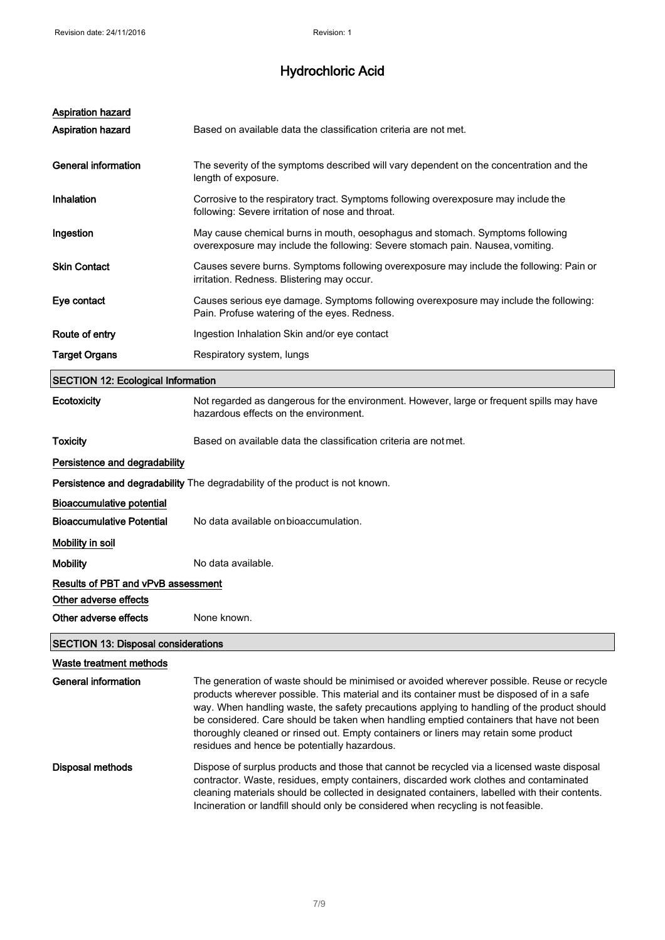| <b>Aspiration hazard</b>                   |                                                                                                                                                                                                                                                                                                                                                                                                                                                                                                                           |  |
|--------------------------------------------|---------------------------------------------------------------------------------------------------------------------------------------------------------------------------------------------------------------------------------------------------------------------------------------------------------------------------------------------------------------------------------------------------------------------------------------------------------------------------------------------------------------------------|--|
| <b>Aspiration hazard</b>                   | Based on available data the classification criteria are not met.                                                                                                                                                                                                                                                                                                                                                                                                                                                          |  |
| <b>General information</b>                 | The severity of the symptoms described will vary dependent on the concentration and the<br>length of exposure.                                                                                                                                                                                                                                                                                                                                                                                                            |  |
| Inhalation                                 | Corrosive to the respiratory tract. Symptoms following overexposure may include the<br>following: Severe irritation of nose and throat.                                                                                                                                                                                                                                                                                                                                                                                   |  |
| Ingestion                                  | May cause chemical burns in mouth, oesophagus and stomach. Symptoms following<br>overexposure may include the following: Severe stomach pain. Nausea, vomiting.                                                                                                                                                                                                                                                                                                                                                           |  |
| <b>Skin Contact</b>                        | Causes severe burns. Symptoms following overexposure may include the following: Pain or<br>irritation. Redness. Blistering may occur.                                                                                                                                                                                                                                                                                                                                                                                     |  |
| Eye contact                                | Causes serious eye damage. Symptoms following overexposure may include the following:<br>Pain. Profuse watering of the eyes. Redness.                                                                                                                                                                                                                                                                                                                                                                                     |  |
| Route of entry                             | Ingestion Inhalation Skin and/or eye contact                                                                                                                                                                                                                                                                                                                                                                                                                                                                              |  |
| <b>Target Organs</b>                       | Respiratory system, lungs                                                                                                                                                                                                                                                                                                                                                                                                                                                                                                 |  |
| <b>SECTION 12: Ecological Information</b>  |                                                                                                                                                                                                                                                                                                                                                                                                                                                                                                                           |  |
| Ecotoxicity                                | Not regarded as dangerous for the environment. However, large or frequent spills may have<br>hazardous effects on the environment.                                                                                                                                                                                                                                                                                                                                                                                        |  |
| <b>Toxicity</b>                            | Based on available data the classification criteria are not met.                                                                                                                                                                                                                                                                                                                                                                                                                                                          |  |
| Persistence and degradability              |                                                                                                                                                                                                                                                                                                                                                                                                                                                                                                                           |  |
|                                            | Persistence and degradability The degradability of the product is not known.                                                                                                                                                                                                                                                                                                                                                                                                                                              |  |
| <b>Bioaccumulative potential</b>           |                                                                                                                                                                                                                                                                                                                                                                                                                                                                                                                           |  |
| <b>Bioaccumulative Potential</b>           | No data available on bioaccumulation.                                                                                                                                                                                                                                                                                                                                                                                                                                                                                     |  |
| Mobility in soil                           |                                                                                                                                                                                                                                                                                                                                                                                                                                                                                                                           |  |
| <b>Mobility</b>                            | No data available.                                                                                                                                                                                                                                                                                                                                                                                                                                                                                                        |  |
| Results of PBT and vPvB assessment         |                                                                                                                                                                                                                                                                                                                                                                                                                                                                                                                           |  |
| Other adverse effects                      |                                                                                                                                                                                                                                                                                                                                                                                                                                                                                                                           |  |
| Other adverse effects                      | None known.                                                                                                                                                                                                                                                                                                                                                                                                                                                                                                               |  |
| <b>SECTION 13: Disposal considerations</b> |                                                                                                                                                                                                                                                                                                                                                                                                                                                                                                                           |  |
| Waste treatment methods                    |                                                                                                                                                                                                                                                                                                                                                                                                                                                                                                                           |  |
| General information                        | The generation of waste should be minimised or avoided wherever possible. Reuse or recycle<br>products wherever possible. This material and its container must be disposed of in a safe<br>way. When handling waste, the safety precautions applying to handling of the product should<br>be considered. Care should be taken when handling emptied containers that have not been<br>thoroughly cleaned or rinsed out. Empty containers or liners may retain some product<br>residues and hence be potentially hazardous. |  |
| Dienoegl mathode                           | Dispose of surplus products and those that cannot be recycled via a licensed waste disposal                                                                                                                                                                                                                                                                                                                                                                                                                               |  |

**posal methods entity** Dispose of surplus products and those that cannot be recycled via a licensed waste disposal contractor. Waste, residues, empty containers, discarded work clothes and contaminated cleaning materials should be collected in designated containers, labelled with their contents. Incineration or landfill should only be considered when recycling is not feasible.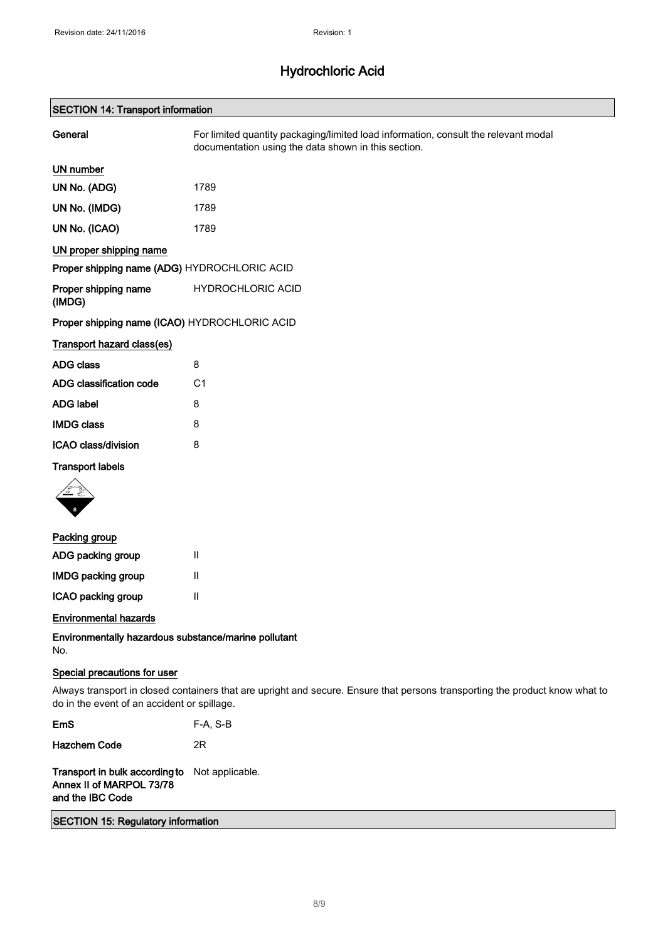### SECTION 14: Transport information

| General                                       | For limited quantity packaging/limited load information, consult the relevant modal<br>documentation using the data shown in this section. |
|-----------------------------------------------|--------------------------------------------------------------------------------------------------------------------------------------------|
| <b>UN number</b>                              |                                                                                                                                            |
| UN No. (ADG)                                  | 1789                                                                                                                                       |
| UN No. (IMDG)                                 | 1789                                                                                                                                       |
| UN No. (ICAO)                                 | 1789                                                                                                                                       |
| UN proper shipping name                       |                                                                                                                                            |
| Proper shipping name (ADG) HYDROCHLORIC ACID  |                                                                                                                                            |
| Proper shipping name<br>(IMDG)                | <b>HYDROCHLORIC ACID</b>                                                                                                                   |
| Proper shipping name (ICAO) HYDROCHLORIC ACID |                                                                                                                                            |
| Transport hazard class(es)                    |                                                                                                                                            |
| <b>ADG class</b>                              | 8                                                                                                                                          |
| ADG classification code                       | C <sub>1</sub>                                                                                                                             |
| <b>ADG label</b>                              | 8                                                                                                                                          |
| <b>IMDG class</b>                             | 8                                                                                                                                          |
| ICAO class/division                           | 8                                                                                                                                          |
| <b>Transport labels</b>                       |                                                                                                                                            |
|                                               |                                                                                                                                            |
| Packing group                                 |                                                                                                                                            |

| Ш |
|---|
| Ш |
| Ш |
|   |

### Environmental hazards

Environmentally hazardous substance/marine pollutant No.

### Special precautions for user

Always transport in closed containers that are upright and secure. Ensure that persons transporting the product know what to do in the event of an accident or spillage.

| F-A, S-B<br><b>EmS</b> |  |
|------------------------|--|
|------------------------|--|

Hazchem Code 2R

Transport in bulk according to Not applicable. Annex II of MARPOL 73/78 and the IBC Code

SECTION 15: Regulatory information